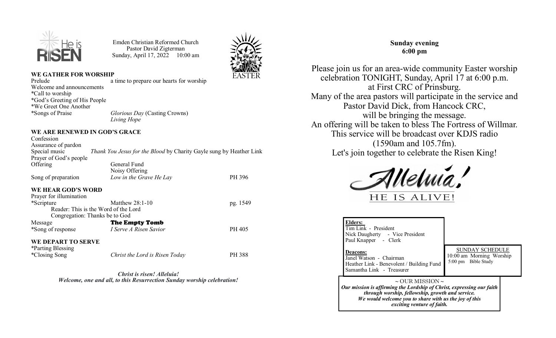

Emden Christian Reformed Church Pastor David Zigterman Sunday, April 17, 2022 10:00 am



#### **WE GATHER FOR WORSHIP**

| a time to prepare our hearts for worship |
|------------------------------------------|
|                                          |
|                                          |
|                                          |
|                                          |
| <i>Glorious Day</i> (Casting Crowns)     |
| Living Hope                              |
|                                          |

#### **WE ARE RENEWED IN GOD'S GRACE**

| Confession                     |                                                                     |          |
|--------------------------------|---------------------------------------------------------------------|----------|
| Assurance of pardon            |                                                                     |          |
| Special music                  | Thank You Jesus for the Blood by Charity Gayle sung by Heather Link |          |
| Prayer of God's people         |                                                                     |          |
| Offering                       | General Fund                                                        |          |
|                                | Noisy Offering                                                      |          |
| Song of preparation            | Low in the Grave He Lay                                             | PH 396   |
| <b>WE HEAR GOD'S WORD</b>      |                                                                     |          |
| Prayer for illumination        |                                                                     |          |
| *Scripture                     | Matthew $28:1-10$                                                   | pg. 1549 |
|                                | Reader: This is the Word of the Lord                                |          |
| Congregation: Thanks be to God |                                                                     |          |
| Message                        | The Empty Tomb                                                      |          |
| *Song of response              | I Serve A Risen Savior                                              | PH 405   |
| WE DEPART TO SERVE             |                                                                     |          |
| *Parting Blessing              |                                                                     |          |
| *Closing Song                  | Christ the Lord is Risen Today                                      | PH 388   |

*Christ is risen! Alleluia! Welcome, one and all, to this Resurrection Sunday worship celebration!* 

# **Sunday evening 6:00 pm**

Please join us for an area-wide community Easter worship celebration TONIGHT, Sunday, April 17 at 6:00 p.m. at First CRC of Prinsburg. Many of the area pastors will participate in the service and Pastor David Dick, from Hancock CRC, will be bringing the message. An offering will be taken to bless The Fortress of Willmar. This service will be broadcast over KDJS radio (1590am and 105.7fm). Let's join together to celebrate the Risen King!



|                                                                                                                                                                                                                                               | <b>Elders:</b><br>Tim Link - President<br>Nick Daugherty - Vice President<br>Paul Knapper - Clerk                    |                                                                           |  |  |  |
|-----------------------------------------------------------------------------------------------------------------------------------------------------------------------------------------------------------------------------------------------|----------------------------------------------------------------------------------------------------------------------|---------------------------------------------------------------------------|--|--|--|
|                                                                                                                                                                                                                                               | <b>Deacons:</b><br>Janel Watson - Chairman<br>Heather Link - Benevolent / Building Fund<br>Samantha Link - Treasurer | <b>SUNDAY SCHEDULE</b><br>10:00 am Morning Worship<br>5:00 pm Bible Study |  |  |  |
| $\sim$ OUR MISSION $\sim$<br>Our mission is affirming the Lordship of Christ, expressing our faith<br>through worship, fellowship, growth and service.<br>We would welcome you to share with us the joy of this<br>exciting venture of faith. |                                                                                                                      |                                                                           |  |  |  |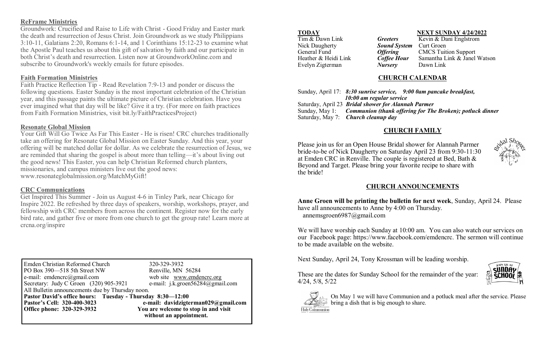## **ReFrame Ministries**

Groundwork: Crucified and Raise to Life with Christ - Good Friday and Easter mark the death and resurrection of Jesus Christ. Join Groundwork as we study Philippians 3:10-11, Galatians 2:20, Romans 6:1-14, and 1 Corinthians 15:12-23 to examine what the Apostle Paul teaches us about this gift of salvation by faith and our participate in both Christ's death and resurrection. Listen now at GroundworkOnline.com and subscribe to Groundwork's weekly emails for future episodes.

## **Faith Formation Ministries**

Faith Practice Reflection Tip - Read Revelation 7:9-13 and ponder or discuss the following questions. Easter Sunday is the most important celebration of the Christian year, and this passage paints the ultimate picture of Christian celebration. Have you ever imagined what that day will be like? Give it a try. (For more on faith practices from Faith Formation Ministries, visit bit.ly/FaithPracticesProject)

### **Resonate Global Mission**

Your Gift Will Go Twice As Far This Easter - He is risen! CRC churches traditionally take an offering for Resonate Global Mission on Easter Sunday. And this year, your offering will be matched dollar for dollar. As we celebrate the resurrection of Jesus, we are reminded that sharing the gospel is about more than telling—it's about living out the good news! This Easter, you can help Christian Reformed church planters, missionaries, and campus ministers live out the good news: www.resonateglobalmission.org/MatchMyGift!

### **CRC Communications**

Get Inspired This Summer - Join us August 4-6 in Tinley Park, near Chicago for Inspire 2022. Be refreshed by three days of speakers, worship, workshops, prayer, and fellowship with CRC members from across the continent. Register now for the early bird rate, and gather five or more from one church to get the group rate! Learn more at crcna.org/inspire

Emden Christian Reformed Church 320-329-3932<br>PO Box 390—518 5th Street NW Renville, MN 56284 PO Box 390—518 5th Street NW Renville, MN 56284<br>
e-mail: emdencrc@gmail.com web site www.emdencrc.org e-mail: emdencrc@gmail.com web site www.emdencrc.org<br>Secretary: Judy C Groen (320) 905-3921 e-mail: j.k.groen56284@gmail.com Secretary: Judy C Groen  $(320)$  905-3921 All Bulletin announcements due by Thursday noon. **Pastor David's office hours: Tuesday - Thursday 8:30—12:00 Pastor**'s Cell: 320-400-3023<br> **Pastor**'s Cell: 320-400-3023<br> **Pastor**<br> **Pastor**<br> **Pastor**<br> **Pastor**<br> **Pastor**<br> **Pastor**<br> **Pastor**<br> **Pastor**<br> **Pastor**<br> **Pastor**<br> **Pastor**<br> **Pastor**<br> **Pastor**<br> **Pastor**<br> **Pastor**<br> **Pastor**<br>  **without an appointment.**

You are welcome to stop in and visit

| Tim & Dawn Link       |
|-----------------------|
| <b>Nick Daugherty</b> |
| General Fund          |
| Heather & Heidi Lin   |
| Evelyn Zigterman      |
|                       |

**TODAY NEXT SUNDAY 4/24/2022 Greeters** Kevin & Dani Englstrom

**Sound System** Curt Groen **Offering CMCS Tuition Support**<br> **Coffee Hour** Samantha Link & Janel k **Coffee Hour** Samantha Link & Janel Watson **Nursery** Dawn Link

#### **CHURCH CALENDAR**

|                                                            | Sunday, April 17: 8:30 sunrise service, 9:00 0am pancake breakfast,      |
|------------------------------------------------------------|--------------------------------------------------------------------------|
| 10:00 am regular service                                   |                                                                          |
| Saturday, April 23 <b>Bridal shower for Alannah Parmer</b> |                                                                          |
|                                                            | Sunday, May 1: Communion (thank offering for The Broken); potluck dinner |
| Saturday, May 7: Church cleanup day                        |                                                                          |
|                                                            |                                                                          |

## **CHURCH FAMILY**

Please join us for an Open House Bridal shower for Alannah Parmer bride-to-be of Nick Daugherty on Saturday April 23 from 9:30-11:30 at Emden CRC in Renville. The couple is registered at Bed, Bath & Beyond and Target. Please bring your favorite recipe to share with the bride!



## **CHURCH ANNOUNCEMENTS**

**Anne Groen will be printing the bulletin for next week**, Sunday, April 24. Please have all announcements to Anne by 4:00 on Thursday. annemsgroen6987@gmail.com

We will have worship each Sunday at 10:00 am. You can also watch our services on our Facebook page: https://www.facebook.com/emdencrc. The sermon will continue to be made available on the website.

Next Sunday, April 24, Tony Krossman will be leading worship.

These are the dates for Sunday School for the remainder of the year:





4/24, 5/8, 5/22

On May 1 we will have Communion and a potluck meal after the service. Please bring a dish that is big enough to share.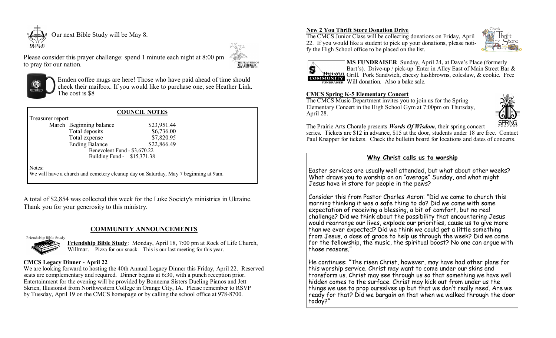

THE PRAYERS OF THE CHURCH



to pray for our nation.

Emden coffee mugs are here! Those who have paid ahead of time should check their mailbox. If you would like to purchase one, see Heather Link. The cost is \$8

| <b>COUNCIL NOTES</b>         |                                                                                     |             |  |  |  |
|------------------------------|-------------------------------------------------------------------------------------|-------------|--|--|--|
| Treasurer report             |                                                                                     |             |  |  |  |
|                              | March Beginning balance                                                             | \$23,951.44 |  |  |  |
|                              | Total deposits                                                                      | \$6,736.00  |  |  |  |
|                              | Total expense                                                                       | \$7,820.95  |  |  |  |
|                              | <b>Ending Balance</b>                                                               | \$22,866.49 |  |  |  |
| Benevolent Fund - \$3,670.22 |                                                                                     |             |  |  |  |
| Building Fund - \$15,371.38  |                                                                                     |             |  |  |  |
| Notes:                       | We will have a church and cemetery cleanup day on Saturday, May 7 beginning at 9am. |             |  |  |  |

Please consider this prayer challenge: spend 1 minute each night at 8:00 pm

A total of \$2,854 was collected this week for the Luke Society's ministries in Ukraine. Thank you for your generosity to this ministry.

### **COMMUNITY ANNOUNCEMENTS**

#### Friendship Bible Study



**Friendship Bible Study**: Monday, April 18, 7:00 pm at Rock of Life Church, Willmar. Pizza for our snack. This is our last meeting for this year.

#### **CMCS Legacy Dinner - April 22**

We are looking forward to hosting the 40th Annual Legacy Dinner this Friday, April 22. Reserved seats are complementary and required. Dinner begins at 6:30, with a punch reception prior. Entertainment for the evening will be provided by Bonnema Sisters Dueling Pianos and Jett Skrien, Illusionist from Northwestern College in Orange City, IA. Please remember to RSVP by Tuesday, April 19 on the CMCS homepage or by calling the school office at 978-8700.

#### **New 2 You Thrift Store Donation Drive**

The CMCS Junior Class will be collecting donations on Friday, April 22. If you would like a student to pick up your donations, please notify the High School office to be placed on the list.





**MS FUNDRAISER** Sunday, April 24, at Dave's Place (formerly Bart's). Drive-up / pick-up Enter in Alley East of Main Street Bar & Grill. Pork Sandwich, cheesy hashbrowns, coleslaw, & cookie. Free Will donation. Also a bake sale.

#### **CMCS Spring K-5 Elementary Concert**

The CMCS Music Department invites you to join us for the Spring Elementary Concert in the High School Gym at 7:00pm on Thursday, April 28.



The Prairie Arts Chorale presents *Words Of Wisdom*, their spring concert series. Tickets are \$12 in advance, \$15 at the door, students under 18 are free. Contact Paul Knapper for tickets. Check the bulletin board for locations and dates of concerts.

#### **Why Christ calls us to worship**

Easter services are usually well attended, but what about other weeks? What draws you to worship on an "average" Sunday, and what might Jesus have in store for people in the pews?

Consider this from Pastor Charles Aaron: "Did we come to church this morning thinking it was a safe thing to do? Did we come with some expectation of receiving a blessing, a bit of comfort, but no real challenge? Did we think about the possibility that encountering Jesus would rearrange our lives, explode our priorities, cause us to give more than we ever expected? Did we think we could get a little something from Jesus, a dose of grace to help us through the week? Did we come for the fellowship, the music, the spiritual boost? No one can argue with those reasons."

He continues: "The risen Christ, however, may have had other plans for this worship service. Christ may want to come under our skins and transform us. Christ may see through us so that something we have well hidden comes to the surface. Christ may kick out from under us the things we use to prop ourselves up but that we don't really need. Are we ready for that? Did we bargain on that when we walked through the door today?"